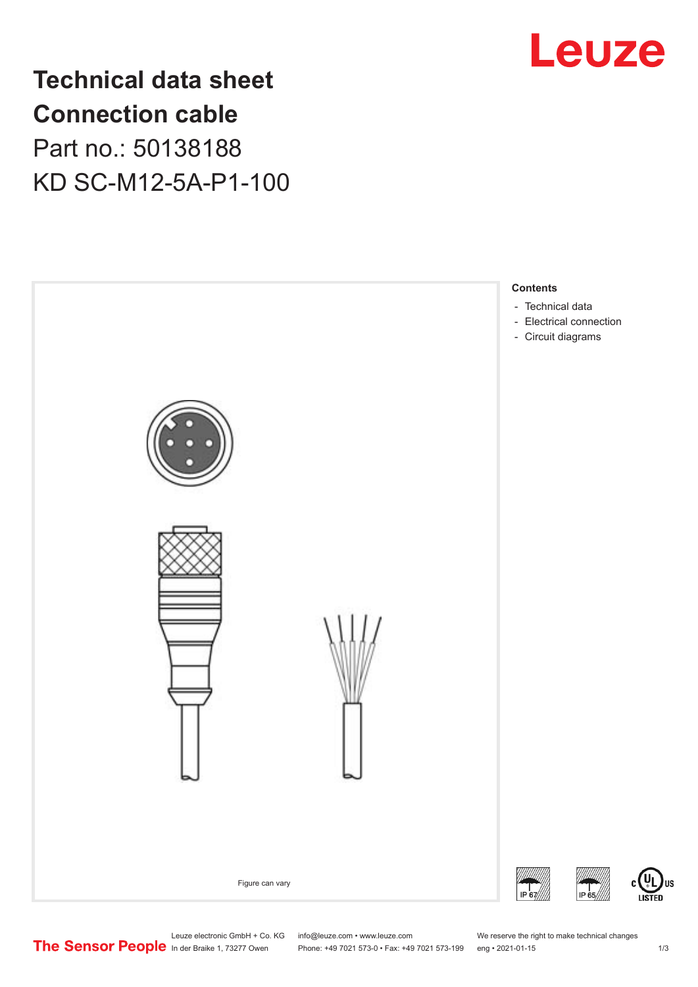

**Technical data sheet Connection cable** Part no.: 50138188 KD SC-M12-5A-P1-100



Leuze electronic GmbH + Co. KG info@leuze.com • www.leuze.com We reserve the right to make technical changes<br>
The Sensor People in der Braike 1, 73277 Owen Phone: +49 7021 573-0 • Fax: +49 7021 573-199 eng • 2021-01-15

Phone: +49 7021 573-0 • Fax: +49 7021 573-199 eng • 2021-01-15

US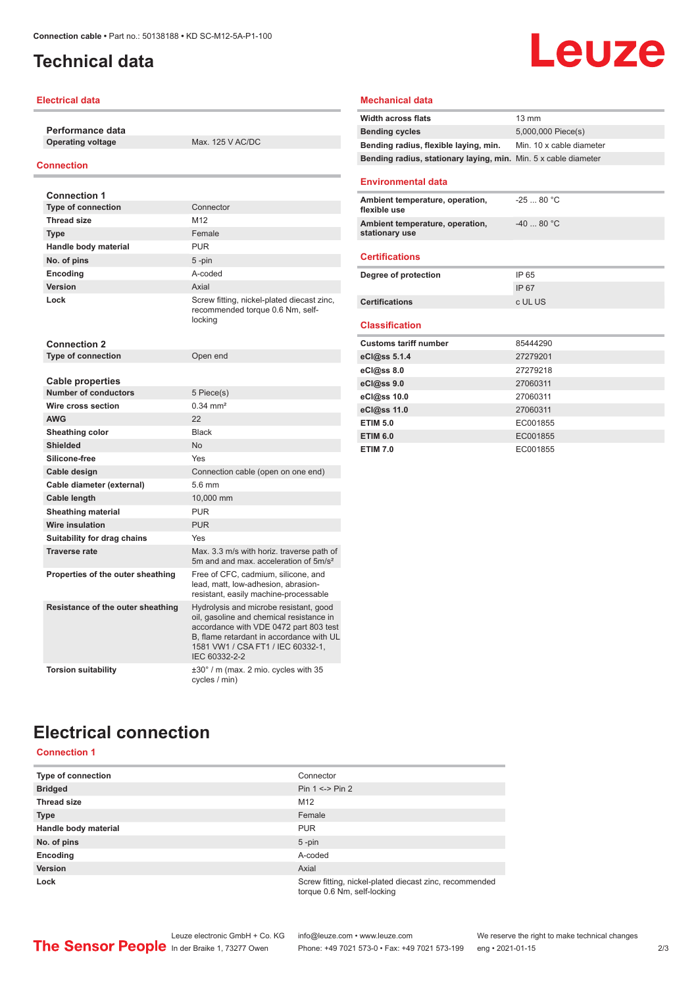## <span id="page-1-0"></span>**Technical data**

### **Electrical data**

**Performance data**

**Operating voltage** Max. 125 V AC/DC

### **Connection**

| <b>Connection 1</b>                             |                                                                                                                                                                                                                                |
|-------------------------------------------------|--------------------------------------------------------------------------------------------------------------------------------------------------------------------------------------------------------------------------------|
| <b>Type of connection</b>                       | Connector                                                                                                                                                                                                                      |
| <b>Thread size</b>                              | M <sub>12</sub>                                                                                                                                                                                                                |
| <b>Type</b>                                     | Female                                                                                                                                                                                                                         |
| Handle body material                            | <b>PUR</b>                                                                                                                                                                                                                     |
| No. of pins                                     | $5 - pin$                                                                                                                                                                                                                      |
| <b>Encoding</b>                                 | A-coded                                                                                                                                                                                                                        |
| Version                                         | Axial                                                                                                                                                                                                                          |
| Lock                                            | Screw fitting, nickel-plated diecast zinc,<br>recommended torque 0.6 Nm, self-<br>locking                                                                                                                                      |
| <b>Connection 2</b>                             |                                                                                                                                                                                                                                |
| <b>Type of connection</b>                       | Open end                                                                                                                                                                                                                       |
|                                                 |                                                                                                                                                                                                                                |
| Cable properties<br><b>Number of conductors</b> |                                                                                                                                                                                                                                |
| Wire cross section                              | 5 Piece(s)<br>$0.34 \, \text{mm}^2$                                                                                                                                                                                            |
| <b>AWG</b>                                      | 22                                                                                                                                                                                                                             |
| Sheathing color                                 | <b>Black</b>                                                                                                                                                                                                                   |
| Shielded                                        | <b>No</b>                                                                                                                                                                                                                      |
| Silicone-free                                   | Yes                                                                                                                                                                                                                            |
| Cable design                                    | Connection cable (open on one end)                                                                                                                                                                                             |
| Cable diameter (external)                       | 5.6 mm                                                                                                                                                                                                                         |
| <b>Cable length</b>                             | 10,000 mm                                                                                                                                                                                                                      |
| <b>Sheathing material</b>                       | <b>PUR</b>                                                                                                                                                                                                                     |
| <b>Wire insulation</b>                          | <b>PUR</b>                                                                                                                                                                                                                     |
| Suitability for drag chains                     | Yes                                                                                                                                                                                                                            |
| <b>Traverse rate</b>                            | Max, 3.3 m/s with horiz, traverse path of<br>5m and and max, acceleration of 5m/s <sup>2</sup>                                                                                                                                 |
| Properties of the outer sheathing               | Free of CFC, cadmium, silicone, and<br>lead, matt, low-adhesion, abrasion-<br>resistant, easily machine-processable                                                                                                            |
| Resistance of the outer sheathing               | Hydrolysis and microbe resistant, good<br>oil, gasoline and chemical resistance in<br>accordance with VDE 0472 part 803 test<br>B. flame retardant in accordance with UL<br>1581 VW1 / CSA FT1 / IEC 60332-1.<br>IEC 60332-2-2 |
| <b>Torsion suitability</b>                      | $\pm 30^\circ$ / m (max. 2 mio. cycles with 35<br>cycles / min)                                                                                                                                                                |

### **Mechanical data**

| <b>Width across flats</b>                                       | $13 \text{ mm}$          |  |
|-----------------------------------------------------------------|--------------------------|--|
| <b>Bending cycles</b>                                           | 5,000,000 Piece(s)       |  |
| Bending radius, flexible laying, min.                           | Min. 10 x cable diameter |  |
| Bending radius, stationary laying, min. Min. 5 x cable diameter |                          |  |
|                                                                 |                          |  |
| <b>Environmental data</b>                                       |                          |  |
| Ambient temperature, operation,<br>flexible use                 | $-2580 °C$               |  |
| Ambient temperature, operation,<br>stationary use               | $-4080 °C$               |  |
| <b>Certifications</b>                                           |                          |  |
| Degree of protection                                            | IP 65                    |  |
|                                                                 | IP 67                    |  |
| <b>Certifications</b>                                           | c UL US                  |  |
|                                                                 |                          |  |
| <b>Classification</b>                                           |                          |  |
| <b>Customs tariff number</b>                                    | 85444290                 |  |
| eCl@ss 5.1.4                                                    | 27279201                 |  |
| $eC/\omega$ ss 8.0                                              | 27279218                 |  |
| eCl@ss 9.0                                                      | 27060311                 |  |
| eCl@ss 10.0                                                     | 27060311                 |  |
| eCl@ss 11.0                                                     | 27060311                 |  |
| <b>ETIM 5.0</b>                                                 | EC001855                 |  |
| <b>ETIM 6.0</b>                                                 | EC001855                 |  |
| <b>ETIM 7.0</b>                                                 | EC001855                 |  |

## **Electrical connection**

## **Connection 1**

| Type of connection   | Connector                                                                             |  |
|----------------------|---------------------------------------------------------------------------------------|--|
| <b>Bridged</b>       | Pin $1 \le$ Pin 2                                                                     |  |
| <b>Thread size</b>   | M <sub>12</sub>                                                                       |  |
| <b>Type</b>          | Female                                                                                |  |
| Handle body material | <b>PUR</b>                                                                            |  |
| No. of pins          | $5$ -pin                                                                              |  |
| Encoding             | A-coded                                                                               |  |
| <b>Version</b>       | Axial                                                                                 |  |
| Lock                 | Screw fitting, nickel-plated diecast zinc, recommended<br>torque 0.6 Nm, self-locking |  |

Leuze electronic GmbH + Co. KG info@leuze.com • www.leuze.com We reserve the right to make technical changes

# Leuze